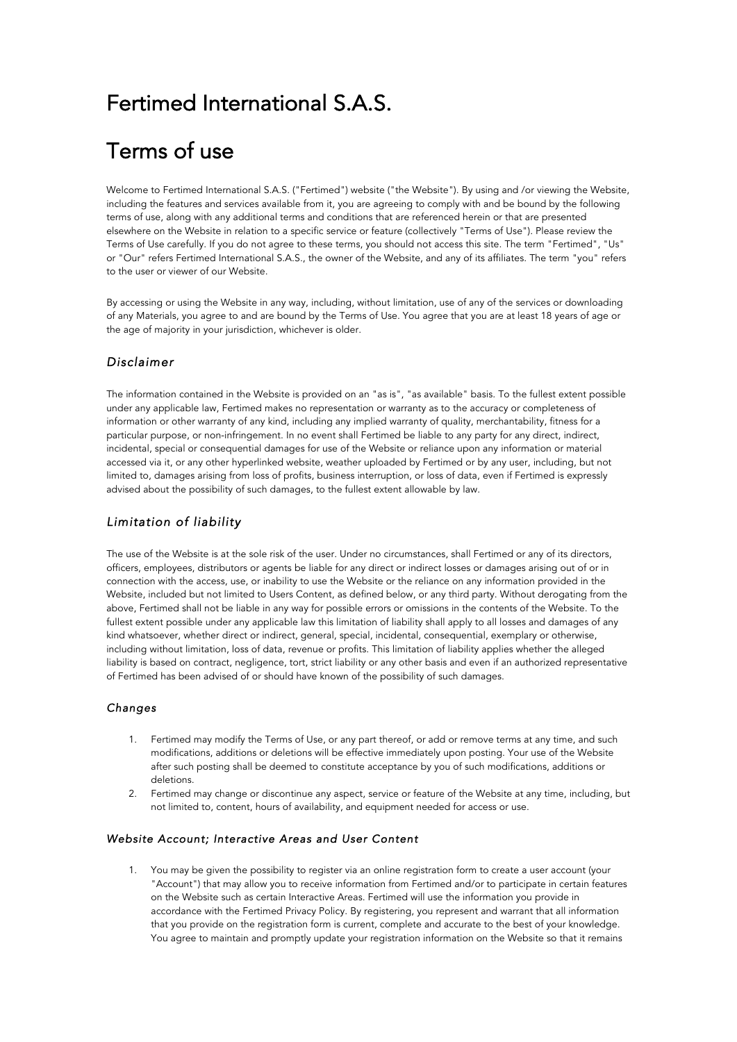# Fertimed International S.A.S.

# Terms of use

Welcome to Fertimed International S.A.S. ("Fertimed") website ("the Website"). By using and /or viewing the Website, including the features and services available from it, you are agreeing to comply with and be bound by the following terms of use, along with any additional terms and conditions that are referenced herein or that are presented elsewhere on the Website in relation to a specific service or feature (collectively "Terms of Use"). Please review the Terms of Use carefully. If you do not agree to these terms, you should not access this site. The term "Fertimed", "Us" or "Our" refers Fertimed International S.A.S., the owner of the Website, and any of its affiliates. The term "you" refers to the user or viewer of our Website.

By accessing or using the Website in any way, including, without limitation, use of any of the services or downloading of any Materials, you agree to and are bound by the Terms of Use. You agree that you are at least 18 years of age or the age of majority in your jurisdiction, whichever is older.

# *Disclaimer*

The information contained in the Website is provided on an "as is", "as available" basis. To the fullest extent possible under any applicable law, Fertimed makes no representation or warranty as to the accuracy or completeness of information or other warranty of any kind, including any implied warranty of quality, merchantability, fitness for a particular purpose, or non-infringement. In no event shall Fertimed be liable to any party for any direct, indirect, incidental, special or consequential damages for use of the Website or reliance upon any information or material accessed via it, or any other hyperlinked website, weather uploaded by Fertimed or by any user, including, but not limited to, damages arising from loss of profits, business interruption, or loss of data, even if Fertimed is expressly advised about the possibility of such damages, to the fullest extent allowable by law.

# *Limitation of liability*

The use of the Website is at the sole risk of the user. Under no circumstances, shall Fertimed or any of its directors, officers, employees, distributors or agents be liable for any direct or indirect losses or damages arising out of or in connection with the access, use, or inability to use the Website or the reliance on any information provided in the Website, included but not limited to Users Content, as defined below, or any third party. Without derogating from the above, Fertimed shall not be liable in any way for possible errors or omissions in the contents of the Website. To the fullest extent possible under any applicable law this limitation of liability shall apply to all losses and damages of any kind whatsoever, whether direct or indirect, general, special, incidental, consequential, exemplary or otherwise, including without limitation, loss of data, revenue or profits. This limitation of liability applies whether the alleged liability is based on contract, negligence, tort, strict liability or any other basis and even if an authorized representative of Fertimed has been advised of or should have known of the possibility of such damages.

#### *Changes*

- 1. Fertimed may modify the Terms of Use, or any part thereof, or add or remove terms at any time, and such modifications, additions or deletions will be effective immediately upon posting. Your use of the Website after such posting shall be deemed to constitute acceptance by you of such modifications, additions or deletions.
- 2. Fertimed may change or discontinue any aspect, service or feature of the Website at any time, including, but not limited to, content, hours of availability, and equipment needed for access or use.

## *Website Account; Interactive Areas and User Content*

1. You may be given the possibility to register via an online registration form to create a user account (your "Account") that may allow you to receive information from Fertimed and/or to participate in certain features on the Website such as certain Interactive Areas. Fertimed will use the information you provide in accordance with the Fertimed Privacy Policy. By registering, you represent and warrant that all information that you provide on the registration form is current, complete and accurate to the best of your knowledge. You agree to maintain and promptly update your registration information on the Website so that it remains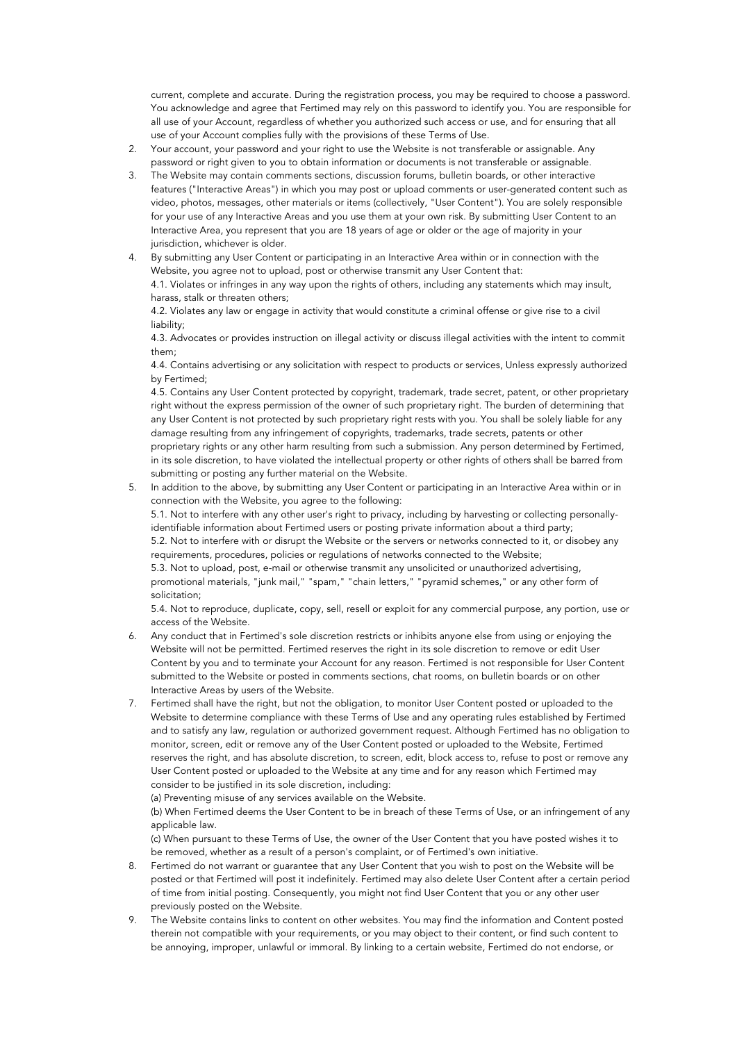current, complete and accurate. During the registration process, you may be required to choose a password. You acknowledge and agree that Fertimed may rely on this password to identify you. You are responsible for all use of your Account, regardless of whether you authorized such access or use, and for ensuring that all use of your Account complies fully with the provisions of these Terms of Use.

- 2. Your account, your password and your right to use the Website is not transferable or assignable. Any password or right given to you to obtain information or documents is not transferable or assignable.
- 3. The Website may contain comments sections, discussion forums, bulletin boards, or other interactive features ("Interactive Areas") in which you may post or upload comments or user-generated content such as video, photos, messages, other materials or items (collectively, "User Content"). You are solely responsible for your use of any Interactive Areas and you use them at your own risk. By submitting User Content to an Interactive Area, you represent that you are 18 years of age or older or the age of majority in your jurisdiction, whichever is older.
- 4. By submitting any User Content or participating in an Interactive Area within or in connection with the Website, you agree not to upload, post or otherwise transmit any User Content that: 4.1. Violates or infringes in any way upon the rights of others, including any statements which may insult, harass, stalk or threaten others;

4.2. Violates any law or engage in activity that would constitute a criminal offense or give rise to a civil liability;

4.3. Advocates or provides instruction on illegal activity or discuss illegal activities with the intent to commit them;

4.4. Contains advertising or any solicitation with respect to products or services, Unless expressly authorized by Fertimed;

4.5. Contains any User Content protected by copyright, trademark, trade secret, patent, or other proprietary right without the express permission of the owner of such proprietary right. The burden of determining that any User Content is not protected by such proprietary right rests with you. You shall be solely liable for any damage resulting from any infringement of copyrights, trademarks, trade secrets, patents or other proprietary rights or any other harm resulting from such a submission. Any person determined by Fertimed, in its sole discretion, to have violated the intellectual property or other rights of others shall be barred from submitting or posting any further material on the Website.

5. In addition to the above, by submitting any User Content or participating in an Interactive Area within or in connection with the Website, you agree to the following:

5.1. Not to interfere with any other user's right to privacy, including by harvesting or collecting personallyidentifiable information about Fertimed users or posting private information about a third party; 5.2. Not to interfere with or disrupt the Website or the servers or networks connected to it, or disobey any requirements, procedures, policies or regulations of networks connected to the Website;

5.3. Not to upload, post, e-mail or otherwise transmit any unsolicited or unauthorized advertising, promotional materials, "junk mail," "spam," "chain letters," "pyramid schemes," or any other form of solicitation;

5.4. Not to reproduce, duplicate, copy, sell, resell or exploit for any commercial purpose, any portion, use or access of the Website.

- 6. Any conduct that in Fertimed's sole discretion restricts or inhibits anyone else from using or enjoying the Website will not be permitted. Fertimed reserves the right in its sole discretion to remove or edit User Content by you and to terminate your Account for any reason. Fertimed is not responsible for User Content submitted to the Website or posted in comments sections, chat rooms, on bulletin boards or on other Interactive Areas by users of the Website.
- 7. Fertimed shall have the right, but not the obligation, to monitor User Content posted or uploaded to the Website to determine compliance with these Terms of Use and any operating rules established by Fertimed and to satisfy any law, regulation or authorized government request. Although Fertimed has no obligation to monitor, screen, edit or remove any of the User Content posted or uploaded to the Website, Fertimed reserves the right, and has absolute discretion, to screen, edit, block access to, refuse to post or remove any User Content posted or uploaded to the Website at any time and for any reason which Fertimed may consider to be justified in its sole discretion, including:

(a) Preventing misuse of any services available on the Website.

(b) When Fertimed deems the User Content to be in breach of these Terms of Use, or an infringement of any applicable law.

(c) When pursuant to these Terms of Use, the owner of the User Content that you have posted wishes it to be removed, whether as a result of a person's complaint, or of Fertimed's own initiative.

- 8. Fertimed do not warrant or guarantee that any User Content that you wish to post on the Website will be posted or that Fertimed will post it indefinitely. Fertimed may also delete User Content after a certain period of time from initial posting. Consequently, you might not find User Content that you or any other user previously posted on the Website.
- 9. The Website contains links to content on other websites. You may find the information and Content posted therein not compatible with your requirements, or you may object to their content, or find such content to be annoying, improper, unlawful or immoral. By linking to a certain website, Fertimed do not endorse, or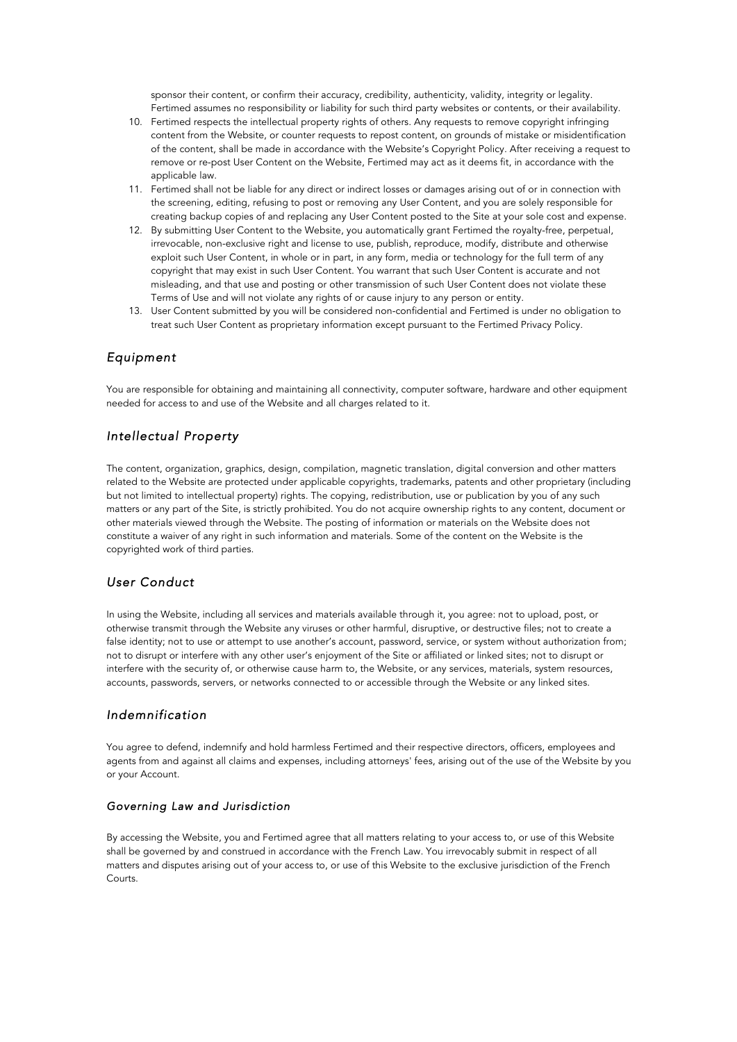sponsor their content, or confirm their accuracy, credibility, authenticity, validity, integrity or legality. Fertimed assumes no responsibility or liability for such third party websites or contents, or their availability.

- 10. Fertimed respects the intellectual property rights of others. Any requests to remove copyright infringing content from the Website, or counter requests to repost content, on grounds of mistake or misidentification of the content, shall be made in accordance with the Website's Copyright Policy. After receiving a request to remove or re-post User Content on the Website, Fertimed may act as it deems fit, in accordance with the applicable law.
- 11. Fertimed shall not be liable for any direct or indirect losses or damages arising out of or in connection with the screening, editing, refusing to post or removing any User Content, and you are solely responsible for creating backup copies of and replacing any User Content posted to the Site at your sole cost and expense.
- 12. By submitting User Content to the Website, you automatically grant Fertimed the royalty-free, perpetual, irrevocable, non-exclusive right and license to use, publish, reproduce, modify, distribute and otherwise exploit such User Content, in whole or in part, in any form, media or technology for the full term of any copyright that may exist in such User Content. You warrant that such User Content is accurate and not misleading, and that use and posting or other transmission of such User Content does not violate these Terms of Use and will not violate any rights of or cause injury to any person or entity.
- 13. User Content submitted by you will be considered non-confidential and Fertimed is under no obligation to treat such User Content as proprietary information except pursuant to the Fertimed Privacy Policy.

# *Equipment*

You are responsible for obtaining and maintaining all connectivity, computer software, hardware and other equipment needed for access to and use of the Website and all charges related to it.

# *Intellectual Property*

The content, organization, graphics, design, compilation, magnetic translation, digital conversion and other matters related to the Website are protected under applicable copyrights, trademarks, patents and other proprietary (including but not limited to intellectual property) rights. The copying, redistribution, use or publication by you of any such matters or any part of the Site, is strictly prohibited. You do not acquire ownership rights to any content, document or other materials viewed through the Website. The posting of information or materials on the Website does not constitute a waiver of any right in such information and materials. Some of the content on the Website is the copyrighted work of third parties.

# *User Conduct*

In using the Website, including all services and materials available through it, you agree: not to upload, post, or otherwise transmit through the Website any viruses or other harmful, disruptive, or destructive files; not to create a false identity; not to use or attempt to use another's account, password, service, or system without authorization from; not to disrupt or interfere with any other user's enjoyment of the Site or affiliated or linked sites; not to disrupt or interfere with the security of, or otherwise cause harm to, the Website, or any services, materials, system resources, accounts, passwords, servers, or networks connected to or accessible through the Website or any linked sites.

# *Indemnification*

You agree to defend, indemnify and hold harmless Fertimed and their respective directors, officers, employees and agents from and against all claims and expenses, including attorneys' fees, arising out of the use of the Website by you or your Account.

## *Governing Law and Jurisdiction*

By accessing the Website, you and Fertimed agree that all matters relating to your access to, or use of this Website shall be governed by and construed in accordance with the French Law. You irrevocably submit in respect of all matters and disputes arising out of your access to, or use of this Website to the exclusive jurisdiction of the French Courts.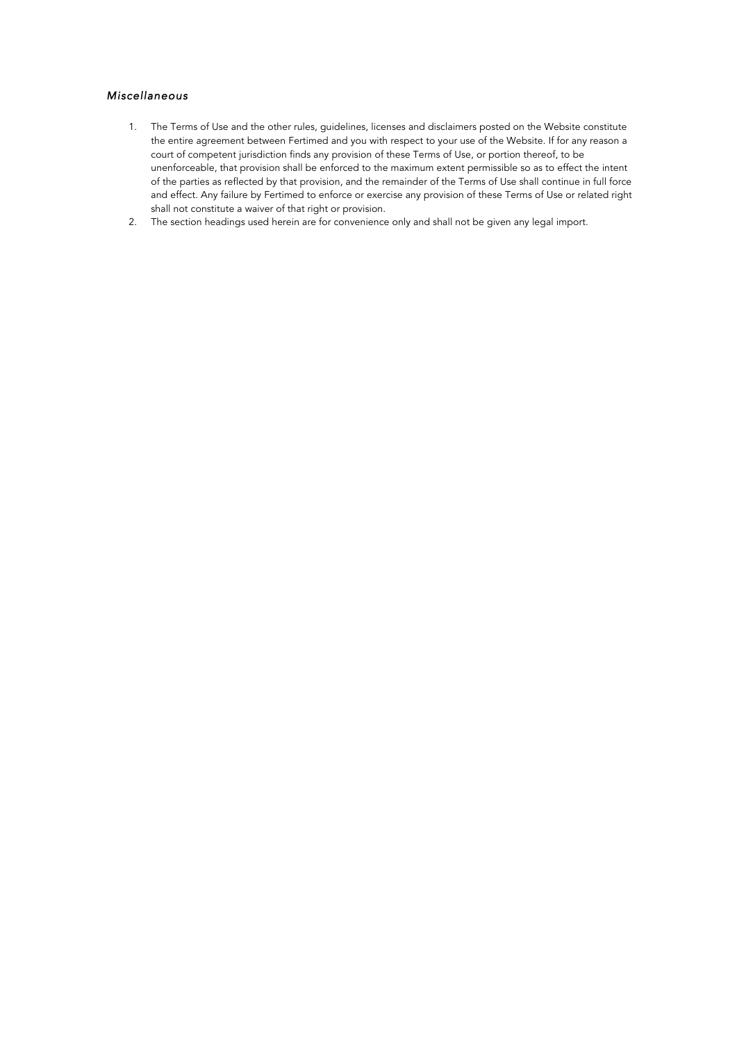# *Miscellaneous*

- 1. The Terms of Use and the other rules, guidelines, licenses and disclaimers posted on the Website constitute the entire agreement between Fertimed and you with respect to your use of the Website. If for any reason a court of competent jurisdiction finds any provision of these Terms of Use, or portion thereof, to be unenforceable, that provision shall be enforced to the maximum extent permissible so as to effect the intent of the parties as reflected by that provision, and the remainder of the Terms of Use shall continue in full force and effect. Any failure by Fertimed to enforce or exercise any provision of these Terms of Use or related right shall not constitute a waiver of that right or provision.
- 2. The section headings used herein are for convenience only and shall not be given any legal import.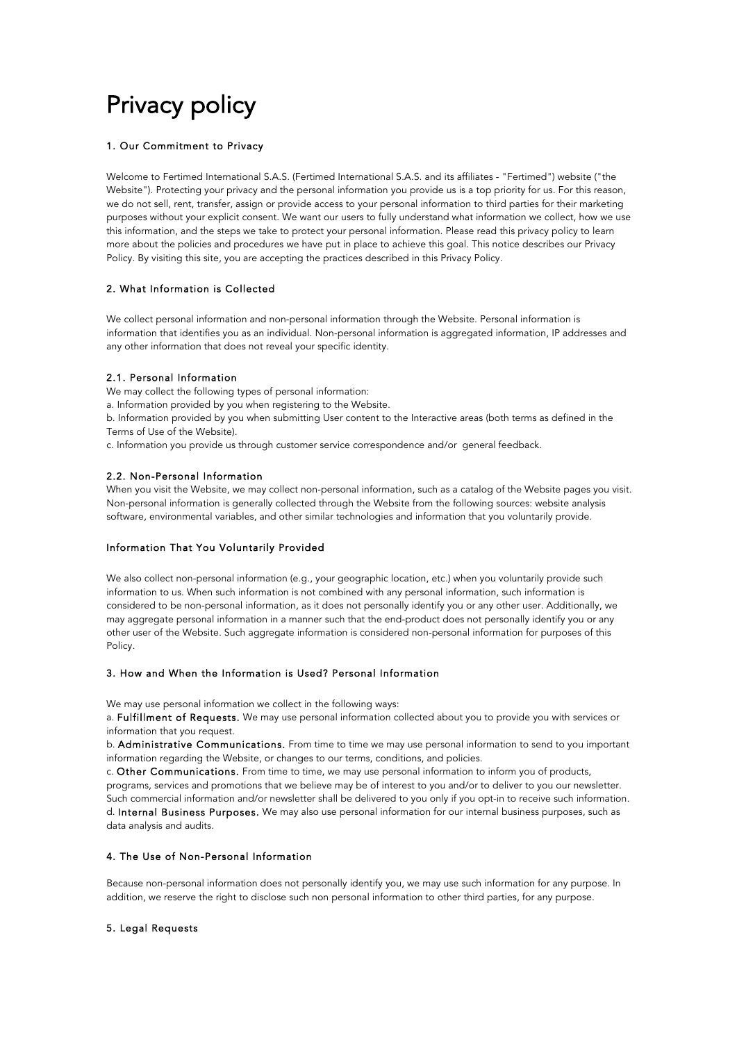# Privacy policy

#### 1. Our Commitment to Privacy

Welcome to Fertimed International S.A.S. (Fertimed International S.A.S. and its affiliates - "Fertimed") website ("the Website"). Protecting your privacy and the personal information you provide us is a top priority for us. For this reason, we do not sell, rent, transfer, assign or provide access to your personal information to third parties for their marketing purposes without your explicit consent. We want our users to fully understand what information we collect, how we use this information, and the steps we take to protect your personal information. Please read this privacy policy to learn more about the policies and procedures we have put in place to achieve this goal. This notice describes our Privacy Policy. By visiting this site, you are accepting the practices described in this Privacy Policy.

#### 2. What Information is Collected

We collect personal information and non-personal information through the Website. Personal information is information that identifies you as an individual. Non-personal information is aggregated information, IP addresses and any other information that does not reveal your specific identity.

#### 2.1. Personal Information

We may collect the following types of personal information:

a. Information provided by you when registering to the Website.

b. Information provided by you when submitting User content to the Interactive areas (both terms as defined in the Terms of Use of the Website).

c. Information you provide us through customer service correspondence and/or general feedback.

#### 2.2. Non-Personal Information

When you visit the Website, we may collect non-personal information, such as a catalog of the Website pages you visit. Non-personal information is generally collected through the Website from the following sources: website analysis software, environmental variables, and other similar technologies and information that you voluntarily provide.

#### Information That You Voluntarily Provided

We also collect non-personal information (e.g., your geographic location, etc.) when you voluntarily provide such information to us. When such information is not combined with any personal information, such information is considered to be non-personal information, as it does not personally identify you or any other user. Additionally, we may aggregate personal information in a manner such that the end-product does not personally identify you or any other user of the Website. Such aggregate information is considered non-personal information for purposes of this Policy.

#### 3. How and When the Information is Used? Personal Information

We may use personal information we collect in the following ways:

a. Fulfillment of Requests. We may use personal information collected about you to provide you with services or information that you request.

b. Administrative Communications. From time to time we may use personal information to send to you important information regarding the Website, or changes to our terms, conditions, and policies.

c. Other Communications. From time to time, we may use personal information to inform you of products, programs, services and promotions that we believe may be of interest to you and/or to deliver to you our newsletter. Such commercial information and/or newsletter shall be delivered to you only if you opt-in to receive such information. d. Internal Business Purposes. We may also use personal information for our internal business purposes, such as data analysis and audits.

#### 4. The Use of Non-Personal Information

Because non-personal information does not personally identify you, we may use such information for any purpose. In addition, we reserve the right to disclose such non personal information to other third parties, for any purpose.

#### 5. Legal Requests